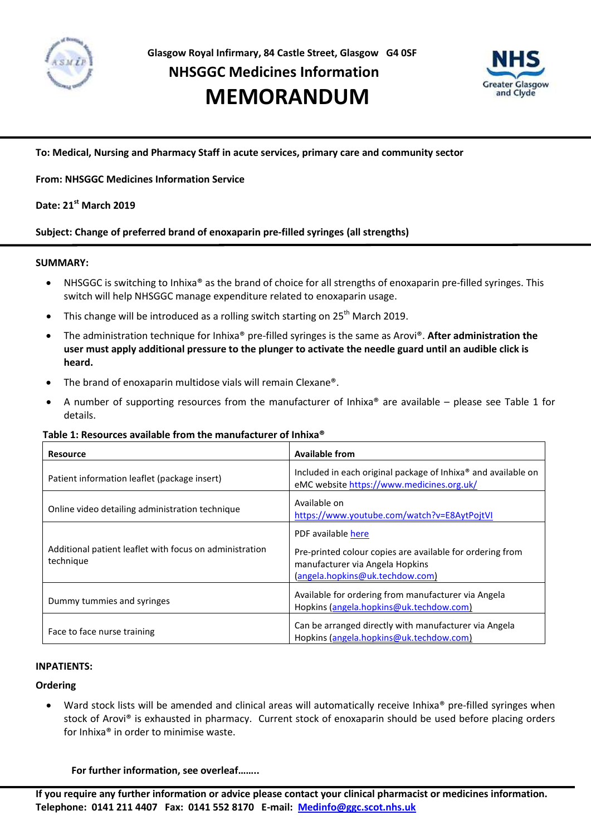

# **NHSGGC Medicines Information**

# **MEMORANDUM Service**



**To: Medical, Nursing and Pharmacy Staff in acute services, primary care and community sector**

# **From: NHSGGC Medicines Information Service**

# **Date: 21 st March 2019**

# **Subject: Change of preferred brand of enoxaparin pre-filled syringes (all strengths)**

#### **SUMMARY:**

- NHSGGC is switching to Inhixa® as the brand of choice for all strengths of enoxaparin pre-filled syringes. This switch will help NHSGGC manage expenditure related to enoxaparin usage.
- This change will be introduced as a rolling switch starting on 25<sup>th</sup> March 2019.
- The administration technique for Inhixa® pre-filled syringes is the same as Arovi®. **After administration the user must apply additional pressure to the plunger to activate the needle guard until an audible click is heard.**
- The brand of enoxaparin multidose vials will remain Clexane®.
- A number of supporting resources from the manufacturer of Inhixa® are available please see Table 1 for details.

#### **Table 1: Resources available from the manufacturer of Inhixa®**

| <b>Resource</b>                                                      | <b>Available from</b>                                                                                                                                 |  |
|----------------------------------------------------------------------|-------------------------------------------------------------------------------------------------------------------------------------------------------|--|
| Patient information leaflet (package insert)                         | Included in each original package of Inhixa <sup>®</sup> and available on<br>eMC website https://www.medicines.org.uk/                                |  |
| Online video detailing administration technique                      | Available on<br>https://www.youtube.com/watch?v=E8AytPojtVI                                                                                           |  |
| Additional patient leaflet with focus on administration<br>technique | PDF available here<br>Pre-printed colour copies are available for ordering from<br>manufacturer via Angela Hopkins<br>(angela.hopkins@uk.techdow.com) |  |
| Dummy tummies and syringes                                           | Available for ordering from manufacturer via Angela<br>Hopkins (angela.hopkins@uk.techdow.com)                                                        |  |
| Face to face nurse training                                          | Can be arranged directly with manufacturer via Angela<br>Hopkins (angela.hopkins@uk.techdow.com)                                                      |  |

### **INPATIENTS:**

#### **Ordering**

Ward stock lists will be amended and clinical areas will automatically receive Inhixa® pre-filled syringes when stock of Arovi® is exhausted in pharmacy. Current stock of enoxaparin should be used before placing orders for Inhixa® in order to minimise waste.

**For further information, see overleaf……..**